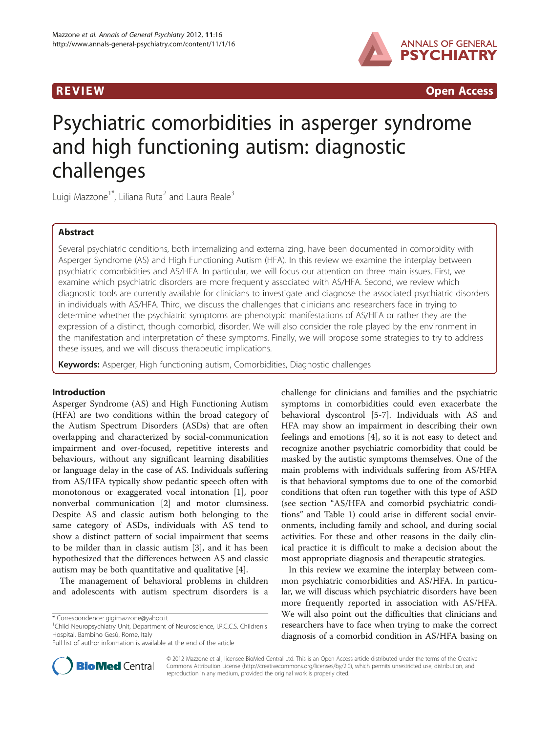

**REVIEW CONSIDERING CONSIDERING CONSIDERING CONSIDERING CONSIDERING CONSIDERING CONSIDERING CONSIDERING CONSIDERING CONSIDERING CONSIDERING CONSIDERING CONSIDERING CONSIDERING CONSIDERING CONSIDERING CONSIDERING CONSIDER** 

# Psychiatric comorbidities in asperger syndrome and high functioning autism: diagnostic challenges

Luigi Mazzone<sup>1\*</sup>, Liliana Ruta<sup>2</sup> and Laura Reale<sup>3</sup>

# Abstract

Several psychiatric conditions, both internalizing and externalizing, have been documented in comorbidity with Asperger Syndrome (AS) and High Functioning Autism (HFA). In this review we examine the interplay between psychiatric comorbidities and AS/HFA. In particular, we will focus our attention on three main issues. First, we examine which psychiatric disorders are more frequently associated with AS/HFA. Second, we review which diagnostic tools are currently available for clinicians to investigate and diagnose the associated psychiatric disorders in individuals with AS/HFA. Third, we discuss the challenges that clinicians and researchers face in trying to determine whether the psychiatric symptoms are phenotypic manifestations of AS/HFA or rather they are the expression of a distinct, though comorbid, disorder. We will also consider the role played by the environment in the manifestation and interpretation of these symptoms. Finally, we will propose some strategies to try to address these issues, and we will discuss therapeutic implications.

Keywords: Asperger, High functioning autism, Comorbidities, Diagnostic challenges

#### Introduction

Asperger Syndrome (AS) and High Functioning Autism (HFA) are two conditions within the broad category of the Autism Spectrum Disorders (ASDs) that are often overlapping and characterized by social-communication impairment and over-focused, repetitive interests and behaviours, without any significant learning disabilities or language delay in the case of AS. Individuals suffering from AS/HFA typically show pedantic speech often with monotonous or exaggerated vocal intonation [\[1](#page-10-0)], poor nonverbal communication [\[2](#page-10-0)] and motor clumsiness. Despite AS and classic autism both belonging to the same category of ASDs, individuals with AS tend to show a distinct pattern of social impairment that seems to be milder than in classic autism [\[3\]](#page-10-0), and it has been hypothesized that the differences between AS and classic autism may be both quantitative and qualitative [[4\]](#page-10-0).

The management of behavioral problems in children and adolescents with autism spectrum disorders is a



In this review we examine the interplay between common psychiatric comorbidities and AS/HFA. In particular, we will discuss which psychiatric disorders have been more frequently reported in association with AS/HFA. We will also point out the difficulties that clinicians and researchers have to face when trying to make the correct diagnosis of a comorbid condition in AS/HFA basing on



© 2012 Mazzone et al.; licensee BioMed Central Ltd. This is an Open Access article distributed under the terms of the Creative Commons Attribution License [\(http://creativecommons.org/licenses/by/2.0\)](http://creativecommons.org/licenses/by/2.0), which permits unrestricted use, distribution, and reproduction in any medium, provided the original work is properly cited.

<sup>\*</sup> Correspondence: [gigimazzone@yahoo.it](mailto:gigimazzone@yahoo.it) <sup>1</sup>

<sup>&</sup>lt;sup>1</sup>Child Neuropsychiatry Unit, Department of Neuroscience, I.R.C.C.S. Children's Hospital, Bambino Gesù, Rome, Italy

Full list of author information is available at the end of the article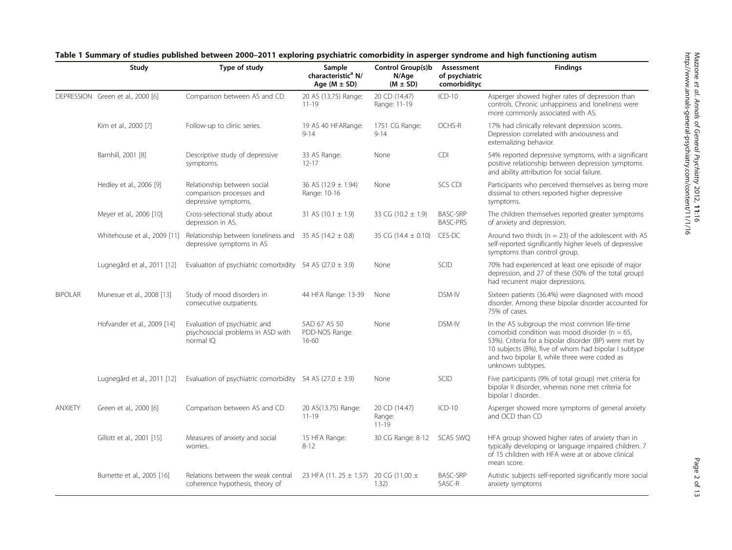|                | Study                             | Type of study                                                                           | Sample<br>characteristic <sup>a</sup> N/<br>Age $(M \pm SD)$ | Control Group(s)b<br>N/Age<br>$(M \pm SD)$ | Assessment<br>of psychiatric<br>comorbidityc | <b>Findings</b>                                                                                                                                                                                                                                                                           |
|----------------|-----------------------------------|-----------------------------------------------------------------------------------------|--------------------------------------------------------------|--------------------------------------------|----------------------------------------------|-------------------------------------------------------------------------------------------------------------------------------------------------------------------------------------------------------------------------------------------------------------------------------------------|
|                | DEPRESSION Green et al., 2000 [6] | Comparison between AS and CD.                                                           | 20 AS (13.75) Range:<br>$11 - 19$                            | 20 CD (14.47)<br>Range: 11-19              | $ICD-10$                                     | Asperger showed higher rates of depression than<br>controls. Chronic unhappiness and loneliness were<br>more commonly associated with AS.                                                                                                                                                 |
|                | Kim et al., 2000 [7]              | Follow-up to clinic series.                                                             | 19 AS 40 HFARange:<br>$9 - 14$                               | 1751 CG Range:<br>$9 - 14$                 | OCHS-R                                       | 17% had clinically relevant depression scores.<br>Depression correlated with anxiousness and<br>externalizing behavior.                                                                                                                                                                   |
|                | Barnhill, 2001 [8]                | Descriptive study of depressive<br>symptoms.                                            | 33 AS Range:<br>$12 - 17$                                    | None                                       | CDI                                          | 54% reported depressive symptoms, with a significant<br>positive relationship between depression symptoms<br>and ability attribution for social failure.                                                                                                                                  |
|                | Hedley et al., 2006 [9]           | Relationship between social<br>comparison processes and<br>depressive symptoms.         | 36 AS $(12.9 \pm 1.94)$<br>Range: 10-16                      | None                                       | SCS CDI                                      | Participants who perceived themselves as being more<br>dissimal to others reported higher depressive<br>symptoms.                                                                                                                                                                         |
|                | Meyer et al., 2006 [10]           | Cross-selectional study about<br>depression in AS.                                      | 31 AS $(10.1 \pm 1.9)$                                       | 33 CG (10.2 $\pm$ 1.9)                     | <b>BASC-SRP</b><br><b>BASC-PRS</b>           | The children themselves reported greater symptoms<br>of anxiety and depression.                                                                                                                                                                                                           |
|                | Whitehouse et al., 2009 [11]      | Relationship between loneliness and 35 AS (14.2 $\pm$ 0.8)<br>depressive symptoms in AS |                                                              | 35 CG $(14.4 \pm 0.10)$                    | CES-DC                                       | Around two thirds ( $n = 23$ ) of the adolescent with AS<br>self-reported significantly higher levels of depressive<br>symptoms than control group.                                                                                                                                       |
|                | Lugnegård et al., 2011 [12]       | Evaluation of psychiatric comorbidity 54 AS (27.0 $\pm$ 3.9)                            |                                                              | None                                       | <b>SCID</b>                                  | 70% had experienced at least one episode of major<br>depression, and 27 of these (50% of the total group)<br>had recurrent major depressions.                                                                                                                                             |
| <b>BIPOLAR</b> | Munesue et al., 2008 [13]         | Study of mood disorders in<br>consecutive outpatients.                                  | 44 HFA Range: 13-39                                          | None                                       | DSM-IV                                       | Sixteen patients (36.4%) were diagnosed with mood<br>disorder. Among these bipolar disorder accounted for<br>75% of cases.                                                                                                                                                                |
|                | Hofvander et al., 2009 [14]       | Evaluation of psychiatric and<br>psychosocial problems in ASD with<br>normal IQ         | 5AD 67 AS 50<br>PDD-NOS Range:<br>16-60                      | None                                       | DSM-IV                                       | In the AS subgroup the most common life-time<br>comorbid condition was mood disorder ( $n = 65$ ,<br>53%). Criteria for a bipolar disorder (BP) were met by<br>10 subjects (8%), five of whom had bipolar I subtype<br>and two bipolar II, while three were coded as<br>unknown subtypes. |
|                | Lugnegård et al., 2011 [12]       | Evaluation of psychiatric comorbidity 54 AS (27.0 $\pm$ 3.9)                            |                                                              | None                                       | SCID                                         | Five participants (9% of total group) met criteria for<br>bipolar II disorder, whereas none met criteria for<br>bipolar I disorder.                                                                                                                                                       |
| <b>ANXIETY</b> | Green et al., 2000 [6]            | Comparison between AS and CD.                                                           | 20 AS(13.75) Range:<br>$11 - 19$                             | 20 CD (14.47)<br>Range:<br>$11 - 19$       | $ICD-10$                                     | Asperger showed more symptoms of general anxiety<br>and OCD than CD                                                                                                                                                                                                                       |
|                | Gillott et al., 2001 [15]         | Measures of anxiety and social<br>worries.                                              | 15 HFA Range:<br>$8 - 12$                                    | 30 CG Range: 8-12                          | SCAS SWQ                                     | HFA group showed higher rates of anxiety than in<br>typically developing or language impaired children. 7<br>of 15 children with HFA were at or above clinical<br>mean score.                                                                                                             |
|                | Burnette et al., 2005 [16]        | Relations between the weak central<br>coherence hypothesis, theory of                   | 23 HFA (11. 25 ± 1.57) 20 CG (11.00 ±                        | 1.32)                                      | <b>BASC-SRP</b><br>SASC-R                    | Autistic subjects self-reported significantly more social<br>anxiety symptoms                                                                                                                                                                                                             |

# <span id="page-1-0"></span>Table 1 Summary of studies published between 2000–2011 exploring psychiatric comorbidity in asperger syndrome and high functioning autism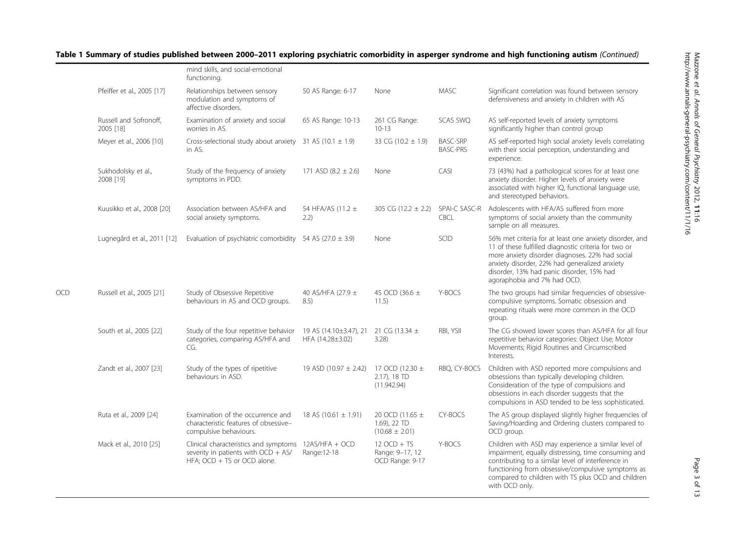|     |                                     | mind skills, and social-emotional<br>functioning.                                                                          |                                                                     |                                                       |                                    |                                                                                                                                                                                                                                                                                                 |
|-----|-------------------------------------|----------------------------------------------------------------------------------------------------------------------------|---------------------------------------------------------------------|-------------------------------------------------------|------------------------------------|-------------------------------------------------------------------------------------------------------------------------------------------------------------------------------------------------------------------------------------------------------------------------------------------------|
|     | Pfeiffer et al., 2005 [17]          | Relationships between sensory<br>modulation and symptoms of<br>affective disorders.                                        | 50 AS Range: 6-17                                                   | None                                                  | MASC                               | Significant correlation was found between sensory<br>defensiveness and anxiety in children with AS                                                                                                                                                                                              |
|     | Russell and Sofronoff,<br>2005 [18] | Examination of anxiety and social<br>worries in AS.                                                                        | 65 AS Range: 10-13                                                  | 261 CG Range:<br>$10 - 13$                            | SCAS SWQ                           | AS self-reported levels of anxiety symptoms<br>significantly higher than control group                                                                                                                                                                                                          |
|     | Meyer et al., 2006 [10]             | Cross-selectional study about anxiety 31 AS (10.1 $\pm$ 1.9)<br>in AS.                                                     |                                                                     | 33 CG (10.2 $\pm$ 1.9)                                | <b>BASC-SRP</b><br><b>BASC-PRS</b> | AS self-reported high social anxiety levels correlating<br>with their social perception, understanding and<br>experience.                                                                                                                                                                       |
|     | Sukhodolsky et al.,<br>2008 [19]    | Study of the frequency of anxiety<br>symptoms in PDD.                                                                      | 171 ASD $(8.2 \pm 2.6)$                                             | None                                                  | CASI                               | 73 (43%) had a pathological scores for at least one<br>anxiety disorder. Higher levels of anxiety were<br>associated with higher IQ, functional language use,<br>and stereotyped behaviors.                                                                                                     |
|     | Kuusikko et al., 2008 [20]          | Association between AS/HFA and<br>social anxiety symptoms.                                                                 | 54 HFA/AS (11.2 $\pm$<br>2.2)                                       | 305 CG (12.2 $\pm$ 2.2)                               | SPAI-C SASC-R<br><b>CBCL</b>       | Adolescents with HFA/AS suffered from more<br>symptoms of social anxiety than the community<br>sample on all measures.                                                                                                                                                                          |
|     | Lugnegård et al., 2011 [12]         | Evaluation of psychiatric comorbidity 54 AS (27.0 $\pm$ 3.9)                                                               |                                                                     | None                                                  | SCID                               | 56% met criteria for at least one anxiety disorder, and<br>11 of these fulfilled diagnostic criteria for two or<br>more anxiety disorder diagnoses. 22% had social<br>anxiety disorder, 22% had generalized anxiety<br>disorder, 13% had panic disorder, 15% had<br>agoraphobia and 7% had OCD. |
| OCD | Russell et al., 2005 [21]           | Study of Obsessive Repetitive<br>behaviours in AS and OCD groups.                                                          | 40 AS/HFA (27.9 ±<br>8.5)                                           | 45 OCD (36.6 $\pm$<br>11.5)                           | Y-BOCS                             | The two groups had similar frequencies of obsessive-<br>compulsive symptoms. Somatic obsession and<br>repeating rituals were more common in the OCD<br>group.                                                                                                                                   |
|     | South et al., 2005 [22]             | Study of the four repetitive behavior<br>categories, comparing AS/HFA and<br>CG.                                           | 19 AS (14.10 $\pm$ 3.47), 21 21 CG (13.34 $\pm$<br>HFA (14.28±3.02) | 3.28                                                  | RBI, YSII                          | The CG showed lower scores than AS/HFA for all four<br>repetitive behavior categories: Object Use; Motor<br>Movements; Rigid Routines and Circumscribed<br>Interests.                                                                                                                           |
|     | Zandt et al., 2007 [23]             | Study of the types of ripetitive<br>behaviours in ASD.                                                                     | 19 ASD (10.97 $\pm$ 2.42)                                           | 17 OCD (12.30 $\pm$<br>2.17), 18 TD<br>(11.942.94)    | RBQ, CY-BOCS                       | Children with ASD reported more compulsions and<br>obsessions than typically developing children.<br>Consideration of the type of compulsions and<br>obsessions in each disorder suggests that the<br>compulsions in ASD tended to be less sophisticated.                                       |
|     | Ruta et al., 2009 [24]              | Examination of the occurrence and<br>characteristic features of obsessive-<br>compulsive behaviours.                       | 18 AS (10.61 $\pm$ 1.91)                                            | 20 OCD (11.65 ±<br>1.69), 22 TD<br>$(10.68 \pm 2.01)$ | CY-BOCS                            | The AS group displayed slightly higher frequencies of<br>Saving/Hoarding and Ordering clusters compared to<br>OCD group.                                                                                                                                                                        |
|     | Mack et al., 2010 [25]              | Clinical characteristics and symptoms 12AS/HFA + OCD<br>severity in patients with OCD + AS/<br>HFA; OCD + TS or OCD alone. | Range:12-18                                                         | $12$ OCD + TS<br>Range: 9-17, 12<br>OCD Range: 9-17   | Y-BOCS                             | Children with ASD may experience a similar level of<br>impairment, equally distressing, time consuming and<br>contributing to a similar level of interference in<br>functioning from obsessive/compulsive symptoms as<br>compared to children with TS plus OCD and children<br>with OCD only.   |

Table 1 Summary of studies published between 2000–2011 exploring psychiatric comorbidity in asperger syndrome and high functioning autism (Continued)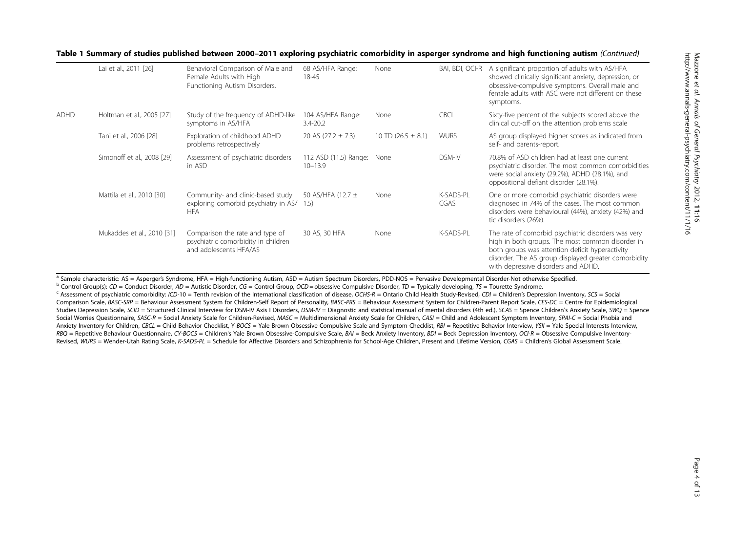|             | Lai et al., 2011 [26]      | Behavioral Comparison of Male and<br>Female Adults with High<br>Functioning Autism Disorders.    | 68 AS/HFA Range:<br>18-45                 | None                   | BAI, BDI, OCI-R   | A significant proportion of adults with AS/HFA<br>showed clinically significant anxiety, depression, or<br>obsessive-compulsive symptoms. Overall male and<br>female adults with ASC were not different on these<br>symptoms.                             |
|-------------|----------------------------|--------------------------------------------------------------------------------------------------|-------------------------------------------|------------------------|-------------------|-----------------------------------------------------------------------------------------------------------------------------------------------------------------------------------------------------------------------------------------------------------|
| <b>ADHD</b> | Holtman et al., 2005 [27]  | Study of the frequency of ADHD-like<br>symptoms in AS/HFA                                        | 104 AS/HFA Range:<br>$3.4 - 20.2$         | None                   | <b>CBCL</b>       | Sixty-five percent of the subjects scored above the<br>clinical cut-off on the attention problems scale                                                                                                                                                   |
|             | Tani et al., 2006 [28]     | Exploration of childhood ADHD<br>problems retrospectively                                        | 20 AS (27.2 $\pm$ 7.3)                    | 10 TD (26.5 $\pm$ 8.1) | <b>WURS</b>       | AS group displayed higher scores as indicated from<br>self- and parents-report.                                                                                                                                                                           |
|             | Simonoff et al., 2008 [29] | Assessment of psychiatric disorders<br>in ASD                                                    | 112 ASD (11.5) Range: None<br>$10 - 13.9$ |                        | DSM-IV            | 70.8% of ASD children had at least one current<br>psychiatric disorder. The most common comorbidities<br>were social anxiety (29.2%), ADHD (28.1%), and<br>oppositional defiant disorder (28.1%).                                                         |
|             | Mattila et al., 2010 [30]  | Community- and clinic-based study<br>exploring comorbid psychiatry in AS/<br><b>HFA</b>          | 50 AS/HFA (12.7 ±<br>1.5)                 | None                   | K-SADS-PL<br>CGAS | One or more comorbid psychiatric disorders were<br>diagnosed in 74% of the cases. The most common<br>disorders were behavioural (44%), anxiety (42%) and<br>tic disorders (26%).                                                                          |
|             | Mukaddes et al., 2010 [31] | Comparison the rate and type of<br>psychiatric comorbidity in children<br>and adolescents HFA/AS | 30 AS, 30 HFA                             | None                   | K-SADS-PL         | The rate of comorbid psychiatric disorders was very<br>high in both groups. The most common disorder in<br>both groups was attention deficit hyperactivity<br>disorder. The AS group displayed greater comorbidity<br>with depressive disorders and ADHD. |

Table 1 Summary of studies published between 2000–2011 exploring psychiatric comorbidity in asperger syndrome and high functioning autism (Continued)

<sup>a</sup> Sample characteristic: AS = Asperger's Syndrome, HFA = High-functioning Autism, ASD = Autism Spectrum Disorders, PDD-NOS = Pervasive Developmental Disorder-Not otherwise Specified.<br><sup>b</sup> Control Group(s): CD = Conduct D Comparison Scale, BASC-SRP = Behaviour Assessment System for Children-Self Report of Personality, BASC-PRS = Behaviour Assessment System for Children-Parent Report Scale, CES-DC = Centre for Epidemiological Studies Depression Scale, SCID = Structured Clinical Interview for DSM-IV Axis I Disorders, DSM-IV = Diagnostic and statstical manual of mental disorders (4th ed.), SCAS = Spence Children's Anxiety Scale, SWQ = Spence Social Worries Questionnaire, SASC-R = Social Anxiety Scale for Children-Revised, MASC = Multidimensional Anxiety Scale for Children, CASI = Child and Adolescent Symptom Inventory, SPAI-C = Social Phobia and Anxiety Inventory for Children, CBCL = Child Behavior Checklist, Y-BOCS = Yale Brown Obsessive Compulsive Scale and Symptom Checklist, RBI = Repetitive Behavior Interview, YSII = Yale Special Interests Interview, RBQ = Repetitive Behaviour Questionnaire, CY-BOCS = Children's Yale Brown Obsessive-Compulsive Scale, BAI = Beck Anxiety Inventory, BDI = Beck Depression Inventory, OCI-R = Obsessive Compulsive Inventory-Revised, WURS = Wender-Utah Rating Scale, K-SADS-PL = Schedule for Affective Disorders and Schizophrenia for School-Age Children, Present and Lifetime Version, CGAS = Children's Global Assessment Scale.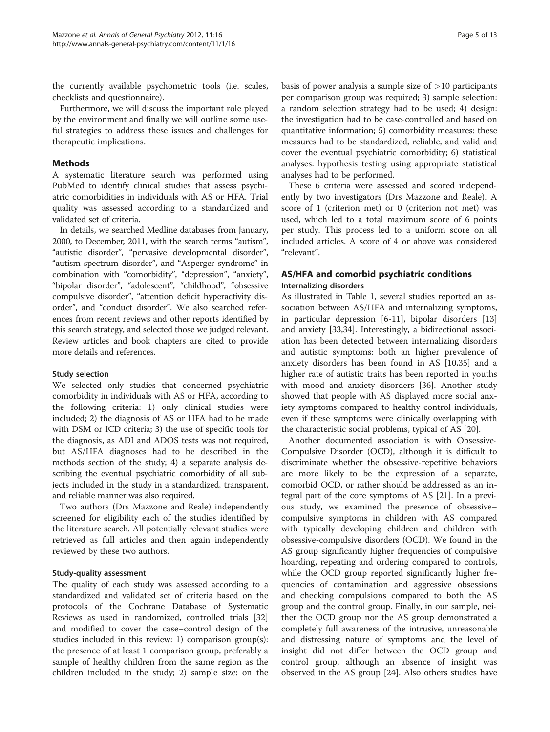the currently available psychometric tools (i.e. scales, checklists and questionnaire).

Furthermore, we will discuss the important role played by the environment and finally we will outline some useful strategies to address these issues and challenges for therapeutic implications.

# Methods

A systematic literature search was performed using PubMed to identify clinical studies that assess psychiatric comorbidities in individuals with AS or HFA. Trial quality was assessed according to a standardized and validated set of criteria.

In details, we searched Medline databases from January, 2000, to December, 2011, with the search terms "autism", "autistic disorder", "pervasive developmental disorder", "autism spectrum disorder", and "Asperger syndrome" in combination with "comorbidity", "depression", "anxiety", "bipolar disorder", "adolescent", "childhood", "obsessive compulsive disorder", "attention deficit hyperactivity disorder", and "conduct disorder". We also searched references from recent reviews and other reports identified by this search strategy, and selected those we judged relevant. Review articles and book chapters are cited to provide more details and references.

#### Study selection

We selected only studies that concerned psychiatric comorbidity in individuals with AS or HFA, according to the following criteria: 1) only clinical studies were included; 2) the diagnosis of AS or HFA had to be made with DSM or ICD criteria; 3) the use of specific tools for the diagnosis, as ADI and ADOS tests was not required, but AS/HFA diagnoses had to be described in the methods section of the study; 4) a separate analysis describing the eventual psychiatric comorbidity of all subjects included in the study in a standardized, transparent, and reliable manner was also required.

Two authors (Drs Mazzone and Reale) independently screened for eligibility each of the studies identified by the literature search. All potentially relevant studies were retrieved as full articles and then again independently reviewed by these two authors.

#### Study-quality assessment

The quality of each study was assessed according to a standardized and validated set of criteria based on the protocols of the Cochrane Database of Systematic Reviews as used in randomized, controlled trials [[32](#page-11-0)] and modified to cover the case–control design of the studies included in this review: 1) comparison group(s): the presence of at least 1 comparison group, preferably a sample of healthy children from the same region as the children included in the study; 2) sample size: on the

basis of power analysis a sample size of  $>10$  participants per comparison group was required; 3) sample selection: a random selection strategy had to be used; 4) design: the investigation had to be case-controlled and based on quantitative information; 5) comorbidity measures: these measures had to be standardized, reliable, and valid and cover the eventual psychiatric comorbidity; 6) statistical analyses: hypothesis testing using appropriate statistical analyses had to be performed.

These 6 criteria were assessed and scored independently by two investigators (Drs Mazzone and Reale). A score of 1 (criterion met) or 0 (criterion not met) was used, which led to a total maximum score of 6 points per study. This process led to a uniform score on all included articles. A score of 4 or above was considered "relevant".

# AS/HFA and comorbid psychiatric conditions Internalizing disorders

As illustrated in Table [1,](#page-1-0) several studies reported an association between AS/HFA and internalizing symptoms, in particular depression [[6-11](#page-11-0)], bipolar disorders [[13](#page-11-0)] and anxiety [[33,34](#page-11-0)]. Interestingly, a bidirectional association has been detected between internalizing disorders and autistic symptoms: both an higher prevalence of anxiety disorders has been found in AS [[10](#page-11-0),[35](#page-11-0)] and a higher rate of autistic traits has been reported in youths with mood and anxiety disorders [\[36\]](#page-11-0). Another study showed that people with AS displayed more social anxiety symptoms compared to healthy control individuals, even if these symptoms were clinically overlapping with the characteristic social problems, typical of AS [[20\]](#page-11-0).

Another documented association is with Obsessive-Compulsive Disorder (OCD), although it is difficult to discriminate whether the obsessive-repetitive behaviors are more likely to be the expression of a separate, comorbid OCD, or rather should be addressed as an integral part of the core symptoms of AS [[21\]](#page-11-0). In a previous study, we examined the presence of obsessive– compulsive symptoms in children with AS compared with typically developing children and children with obsessive-compulsive disorders (OCD). We found in the AS group significantly higher frequencies of compulsive hoarding, repeating and ordering compared to controls, while the OCD group reported significantly higher frequencies of contamination and aggressive obsessions and checking compulsions compared to both the AS group and the control group. Finally, in our sample, neither the OCD group nor the AS group demonstrated a completely full awareness of the intrusive, unreasonable and distressing nature of symptoms and the level of insight did not differ between the OCD group and control group, although an absence of insight was observed in the AS group [[24\]](#page-11-0). Also others studies have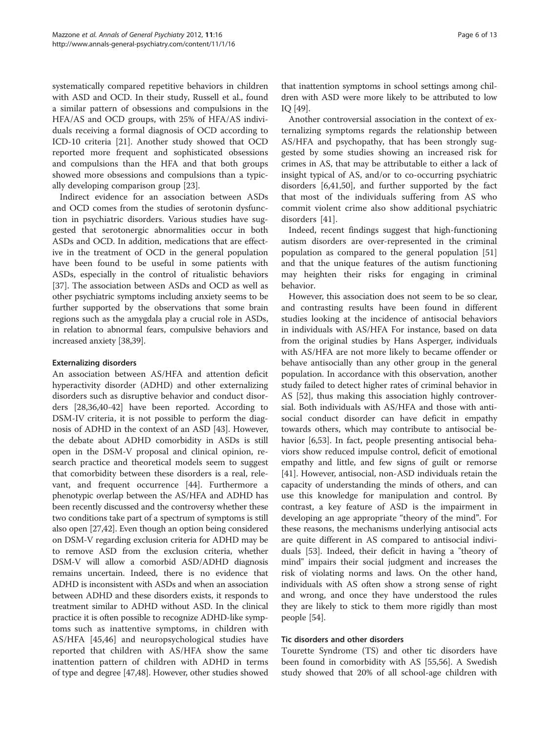systematically compared repetitive behaviors in children with ASD and OCD. In their study, Russell et al., found a similar pattern of obsessions and compulsions in the HFA/AS and OCD groups, with 25% of HFA/AS individuals receiving a formal diagnosis of OCD according to ICD-10 criteria [\[21](#page-11-0)]. Another study showed that OCD reported more frequent and sophisticated obsessions and compulsions than the HFA and that both groups showed more obsessions and compulsions than a typically developing comparison group [[23](#page-11-0)].

Indirect evidence for an association between ASDs and OCD comes from the studies of serotonin dysfunction in psychiatric disorders. Various studies have suggested that serotonergic abnormalities occur in both ASDs and OCD. In addition, medications that are effective in the treatment of OCD in the general population have been found to be useful in some patients with ASDs, especially in the control of ritualistic behaviors [[37\]](#page-11-0). The association between ASDs and OCD as well as other psychiatric symptoms including anxiety seems to be further supported by the observations that some brain regions such as the amygdala play a crucial role in ASDs, in relation to abnormal fears, compulsive behaviors and increased anxiety [\[38,39](#page-11-0)].

### Externalizing disorders

An association between AS/HFA and attention deficit hyperactivity disorder (ADHD) and other externalizing disorders such as disruptive behavior and conduct disorders [\[28,36,40](#page-11-0)-[42](#page-11-0)] have been reported. According to DSM-IV criteria, it is not possible to perform the diagnosis of ADHD in the context of an ASD [\[43\]](#page-11-0). However, the debate about ADHD comorbidity in ASDs is still open in the DSM-V proposal and clinical opinion, research practice and theoretical models seem to suggest that comorbidity between these disorders is a real, relevant, and frequent occurrence [\[44\]](#page-11-0). Furthermore a phenotypic overlap between the AS/HFA and ADHD has been recently discussed and the controversy whether these two conditions take part of a spectrum of symptoms is still also open [\[27,42\]](#page-11-0). Even though an option being considered on DSM-V regarding exclusion criteria for ADHD may be to remove ASD from the exclusion criteria, whether DSM-V will allow a comorbid ASD/ADHD diagnosis remains uncertain. Indeed, there is no evidence that ADHD is inconsistent with ASDs and when an association between ADHD and these disorders exists, it responds to treatment similar to ADHD without ASD. In the clinical practice it is often possible to recognize ADHD-like symptoms such as inattentive symptoms, in children with AS/HFA [[45,46\]](#page-11-0) and neuropsychological studies have reported that children with AS/HFA show the same inattention pattern of children with ADHD in terms of type and degree [[47,48\]](#page-11-0). However, other studies showed

that inattention symptoms in school settings among children with ASD were more likely to be attributed to low IQ [\[49\]](#page-11-0).

Another controversial association in the context of externalizing symptoms regards the relationship between AS/HFA and psychopathy, that has been strongly suggested by some studies showing an increased risk for crimes in AS, that may be attributable to either a lack of insight typical of AS, and/or to co-occurring psychiatric disorders [[6,41,50\]](#page-11-0), and further supported by the fact that most of the individuals suffering from AS who commit violent crime also show additional psychiatric disorders [\[41](#page-11-0)].

Indeed, recent findings suggest that high-functioning autism disorders are over-represented in the criminal population as compared to the general population [[51](#page-11-0)] and that the unique features of the autism functioning may heighten their risks for engaging in criminal behavior.

However, this association does not seem to be so clear, and contrasting results have been found in different studies looking at the incidence of antisocial behaviors in individuals with AS/HFA For instance, based on data from the original studies by Hans Asperger, individuals with AS/HFA are not more likely to became offender or behave antisocially than any other group in the general population. In accordance with this observation, another study failed to detect higher rates of criminal behavior in AS [[52\]](#page-11-0), thus making this association highly controversial. Both individuals with AS/HFA and those with antisocial conduct disorder can have deficit in empathy towards others, which may contribute to antisocial behavior [\[6](#page-11-0)[,53\]](#page-12-0). In fact, people presenting antisocial behaviors show reduced impulse control, deficit of emotional empathy and little, and few signs of guilt or remorse [[41\]](#page-11-0). However, antisocial, non-ASD individuals retain the capacity of understanding the minds of others, and can use this knowledge for manipulation and control. By contrast, a key feature of ASD is the impairment in developing an age appropriate "theory of the mind". For these reasons, the mechanisms underlying antisocial acts are quite different in AS compared to antisocial individuals [\[53\]](#page-12-0). Indeed, their deficit in having a "theory of mind" impairs their social judgment and increases the risk of violating norms and laws. On the other hand, individuals with AS often show a strong sense of right and wrong, and once they have understood the rules they are likely to stick to them more rigidly than most people [[54\]](#page-12-0).

# Tic disorders and other disorders

Tourette Syndrome (TS) and other tic disorders have been found in comorbidity with AS [\[55,56\]](#page-12-0). A Swedish study showed that 20% of all school-age children with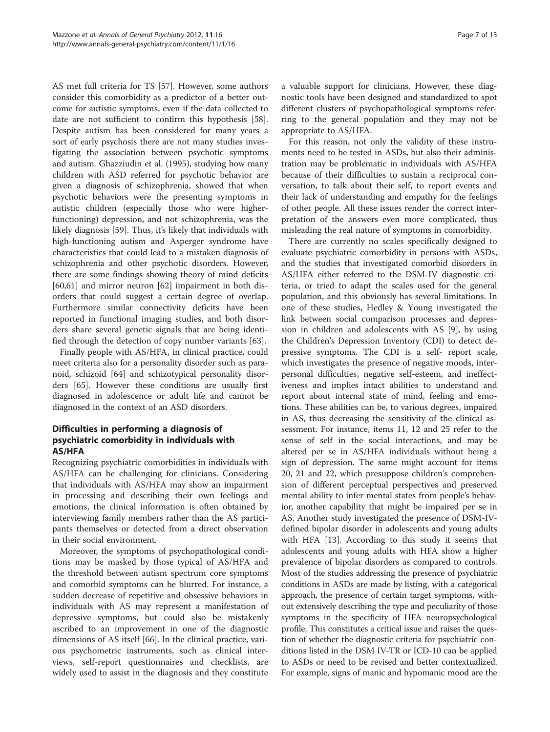AS met full criteria for TS [\[57](#page-12-0)]. However, some authors consider this comorbidity as a predictor of a better outcome for autistic symptoms, even if the data collected to date are not sufficient to confirm this hypothesis [\[58](#page-12-0)]. Despite autism has been considered for many years a sort of early psychosis there are not many studies investigating the association between psychotic symptoms and autism. Ghazziudin et al. (1995), studying how many children with ASD referred for psychotic behavior are given a diagnosis of schizophrenia, showed that when psychotic behaviors were the presenting symptoms in autistic children (especially those who were higherfunctioning) depression, and not schizophrenia, was the likely diagnosis [[59](#page-12-0)]. Thus, it's likely that individuals with high-functioning autism and Asperger syndrome have characteristics that could lead to a mistaken diagnosis of schizophrenia and other psychotic disorders. However, there are some findings showing theory of mind deficits [[60,61\]](#page-12-0) and mirror neuron [[62](#page-12-0)] impairment in both disorders that could suggest a certain degree of overlap. Furthermore similar connectivity deficits have been reported in functional imaging studies, and both disorders share several genetic signals that are being identified through the detection of copy number variants [\[63](#page-12-0)].

Finally people with AS/HFA, in clinical practice, could meet criteria also for a personality disorder such as paranoid, schizoid [\[64\]](#page-12-0) and schizotypical personality disorders [[65\]](#page-12-0). However these conditions are usually first diagnosed in adolescence or adult life and cannot be diagnosed in the context of an ASD disorders.

# Difficulties in performing a diagnosis of psychiatric comorbidity in individuals with AS/HFA

Recognizing psychiatric comorbidities in individuals with AS/HFA can be challenging for clinicians. Considering that individuals with AS/HFA may show an impairment in processing and describing their own feelings and emotions, the clinical information is often obtained by interviewing family members rather than the AS participants themselves or detected from a direct observation in their social environment.

Moreover, the symptoms of psychopathological conditions may be masked by those typical of AS/HFA and the threshold between autism spectrum core symptoms and comorbid symptoms can be blurred. For instance, a sudden decrease of repetitive and obsessive behaviors in individuals with AS may represent a manifestation of depressive symptoms, but could also be mistakenly ascribed to an improvement in one of the diagnostic dimensions of AS itself [\[66](#page-12-0)]. In the clinical practice, various psychometric instruments, such as clinical interviews, self-report questionnaires and checklists, are widely used to assist in the diagnosis and they constitute

a valuable support for clinicians. However, these diagnostic tools have been designed and standardized to spot different clusters of psychopathological symptoms referring to the general population and they may not be appropriate to AS/HFA.

For this reason, not only the validity of these instruments need to be tested in ASDs, but also their administration may be problematic in individuals with AS/HFA because of their difficulties to sustain a reciprocal conversation, to talk about their self, to report events and their lack of understanding and empathy for the feelings of other people. All these issues render the correct interpretation of the answers even more complicated, thus misleading the real nature of symptoms in comorbidity.

There are currently no scales specifically designed to evaluate psychiatric comorbidity in persons with ASDs, and the studies that investigated comorbid disorders in AS/HFA either referred to the DSM-IV diagnostic criteria, or tried to adapt the scales used for the general population, and this obviously has several limitations. In one of these studies, Hedley & Young investigated the link between social comparison processes and depression in children and adolescents with AS [\[9](#page-11-0)], by using the Children's Depression Inventory (CDI) to detect depressive symptoms. The CDI is a self- report scale, which investigates the presence of negative moods, interpersonal difficulties, negative self-esteem, and ineffectiveness and implies intact abilities to understand and report about internal state of mind, feeling and emotions. These abilities can be, to various degrees, impaired in AS, thus decreasing the sensitivity of the clinical assessment. For instance, items 11, 12 and 25 refer to the sense of self in the social interactions, and may be altered per se in AS/HFA individuals without being a sign of depression. The same might account for items 20, 21 and 22, which presuppose children's comprehension of different perceptual perspectives and preserved mental ability to infer mental states from people's behavior, another capability that might be impaired per se in AS. Another study investigated the presence of DSM-IVdefined bipolar disorder in adolescents and young adults with HFA [[13\]](#page-11-0). According to this study it seems that adolescents and young adults with HFA show a higher prevalence of bipolar disorders as compared to controls. Most of the studies addressing the presence of psychiatric conditions in ASDs are made by listing, with a categorical approach, the presence of certain target symptoms, without extensively describing the type and peculiarity of those symptoms in the specificity of HFA neuropsychological profile. This constitutes a critical issue and raises the question of whether the diagnostic criteria for psychiatric conditions listed in the DSM IV-TR or ICD-10 can be applied to ASDs or need to be revised and better contextualized. For example, signs of manic and hypomanic mood are the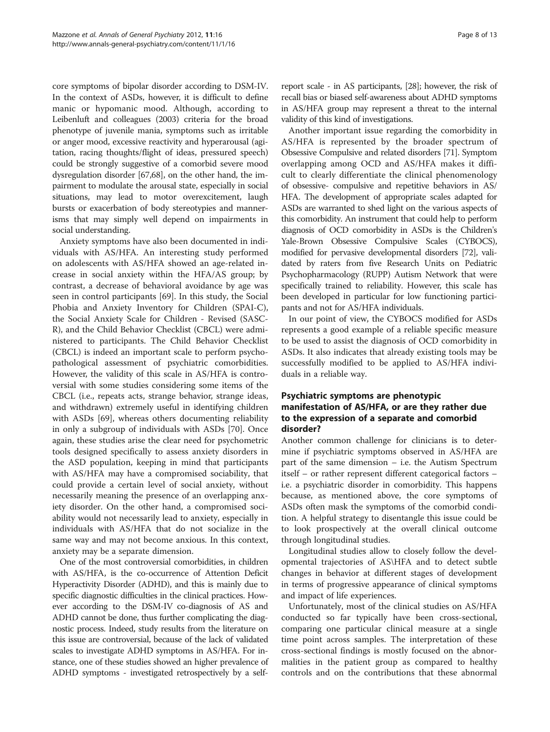core symptoms of bipolar disorder according to DSM-IV. In the context of ASDs, however, it is difficult to define manic or hypomanic mood. Although, according to Leibenluft and colleagues (2003) criteria for the broad phenotype of juvenile mania, symptoms such as irritable or anger mood, excessive reactivity and hyperarousal (agitation, racing thoughts/flight of ideas, pressured speech) could be strongly suggestive of a comorbid severe mood dysregulation disorder [\[67,68\]](#page-12-0), on the other hand, the impairment to modulate the arousal state, especially in social situations, may lead to motor overexcitement, laugh bursts or exacerbation of body stereotypies and mannerisms that may simply well depend on impairments in social understanding.

Anxiety symptoms have also been documented in individuals with AS/HFA. An interesting study performed on adolescents with AS/HFA showed an age-related increase in social anxiety within the HFA/AS group; by contrast, a decrease of behavioral avoidance by age was seen in control participants [[69](#page-12-0)]. In this study, the Social Phobia and Anxiety Inventory for Children (SPAI-C), the Social Anxiety Scale for Children - Revised (SASC-R), and the Child Behavior Checklist (CBCL) were administered to participants. The Child Behavior Checklist (CBCL) is indeed an important scale to perform psychopathological assessment of psychiatric comorbidities. However, the validity of this scale in AS/HFA is controversial with some studies considering some items of the CBCL (i.e., repeats acts, strange behavior, strange ideas, and withdrawn) extremely useful in identifying children with ASDs [[69\]](#page-12-0), whereas others documenting reliability in only a subgroup of individuals with ASDs [[70\]](#page-12-0). Once again, these studies arise the clear need for psychometric tools designed specifically to assess anxiety disorders in the ASD population, keeping in mind that participants with AS/HFA may have a compromised sociability, that could provide a certain level of social anxiety, without necessarily meaning the presence of an overlapping anxiety disorder. On the other hand, a compromised sociability would not necessarily lead to anxiety, especially in individuals with AS/HFA that do not socialize in the same way and may not become anxious. In this context, anxiety may be a separate dimension.

One of the most controversial comorbidities, in children with AS/HFA, is the co-occurrence of Attention Deficit Hyperactivity Disorder (ADHD), and this is mainly due to specific diagnostic difficulties in the clinical practices. However according to the DSM-IV co-diagnosis of AS and ADHD cannot be done, thus further complicating the diagnostic process. Indeed, study results from the literature on this issue are controversial, because of the lack of validated scales to investigate ADHD symptoms in AS/HFA. For instance, one of these studies showed an higher prevalence of ADHD symptoms - investigated retrospectively by a self-

report scale - in AS participants, [\[28](#page-11-0)]; however, the risk of recall bias or biased self-awareness about ADHD symptoms in AS/HFA group may represent a threat to the internal validity of this kind of investigations.

Another important issue regarding the comorbidity in AS/HFA is represented by the broader spectrum of Obsessive Compulsive and related disorders [\[71\]](#page-12-0). Symptom overlapping among OCD and AS/HFA makes it difficult to clearly differentiate the clinical phenomenology of obsessive- compulsive and repetitive behaviors in AS/ HFA. The development of appropriate scales adapted for ASDs are warranted to shed light on the various aspects of this comorbidity. An instrument that could help to perform diagnosis of OCD comorbidity in ASDs is the Children's Yale-Brown Obsessive Compulsive Scales (CYBOCS), modified for pervasive developmental disorders [\[72\]](#page-12-0), validated by raters from five Research Units on Pediatric Psychopharmacology (RUPP) Autism Network that were specifically trained to reliability. However, this scale has been developed in particular for low functioning participants and not for AS/HFA individuals.

In our point of view, the CYBOCS modified for ASDs represents a good example of a reliable specific measure to be used to assist the diagnosis of OCD comorbidity in ASDs. It also indicates that already existing tools may be successfully modified to be applied to AS/HFA individuals in a reliable way.

# Psychiatric symptoms are phenotypic manifestation of AS/HFA, or are they rather due to the expression of a separate and comorbid disorder?

Another common challenge for clinicians is to determine if psychiatric symptoms observed in AS/HFA are part of the same dimension – i.e. the Autism Spectrum itself – or rather represent different categorical factors – i.e. a psychiatric disorder in comorbidity. This happens because, as mentioned above, the core symptoms of ASDs often mask the symptoms of the comorbid condition. A helpful strategy to disentangle this issue could be to look prospectively at the overall clinical outcome through longitudinal studies.

Longitudinal studies allow to closely follow the developmental trajectories of AS\HFA and to detect subtle changes in behavior at different stages of development in terms of progressive appearance of clinical symptoms and impact of life experiences.

Unfortunately, most of the clinical studies on AS/HFA conducted so far typically have been cross-sectional, comparing one particular clinical measure at a single time point across samples. The interpretation of these cross-sectional findings is mostly focused on the abnormalities in the patient group as compared to healthy controls and on the contributions that these abnormal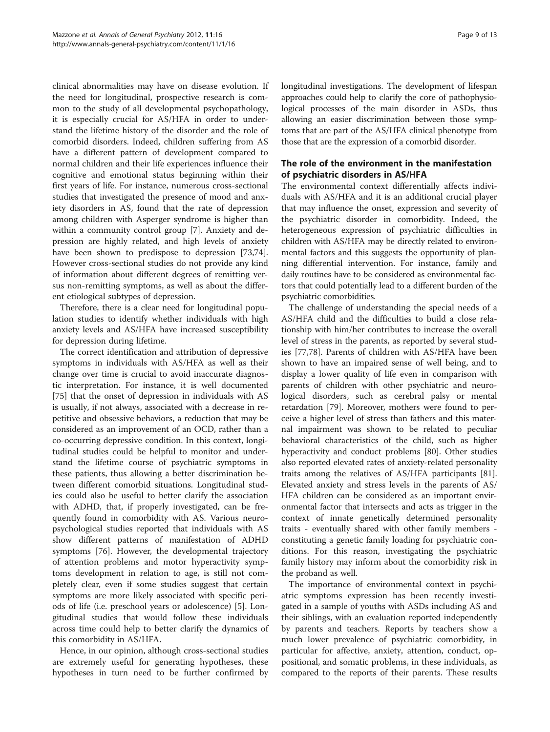clinical abnormalities may have on disease evolution. If the need for longitudinal, prospective research is common to the study of all developmental psychopathology, it is especially crucial for AS/HFA in order to understand the lifetime history of the disorder and the role of comorbid disorders. Indeed, children suffering from AS have a different pattern of development compared to normal children and their life experiences influence their cognitive and emotional status beginning within their first years of life. For instance, numerous cross-sectional studies that investigated the presence of mood and anxiety disorders in AS, found that the rate of depression among children with Asperger syndrome is higher than within a community control group [\[7](#page-11-0)]. Anxiety and depression are highly related, and high levels of anxiety have been shown to predispose to depression [\[73,74](#page-12-0)]. However cross-sectional studies do not provide any kind of information about different degrees of remitting versus non-remitting symptoms, as well as about the different etiological subtypes of depression.

Therefore, there is a clear need for longitudinal population studies to identify whether individuals with high anxiety levels and AS/HFA have increased susceptibility for depression during lifetime.

The correct identification and attribution of depressive symptoms in individuals with AS/HFA as well as their change over time is crucial to avoid inaccurate diagnostic interpretation. For instance, it is well documented [[75\]](#page-12-0) that the onset of depression in individuals with AS is usually, if not always, associated with a decrease in repetitive and obsessive behaviors, a reduction that may be considered as an improvement of an OCD, rather than a co-occurring depressive condition. In this context, longitudinal studies could be helpful to monitor and understand the lifetime course of psychiatric symptoms in these patients, thus allowing a better discrimination between different comorbid situations. Longitudinal studies could also be useful to better clarify the association with ADHD, that, if properly investigated, can be frequently found in comorbidity with AS. Various neuropsychological studies reported that individuals with AS show different patterns of manifestation of ADHD symptoms [[76](#page-12-0)]. However, the developmental trajectory of attention problems and motor hyperactivity symptoms development in relation to age, is still not completely clear, even if some studies suggest that certain symptoms are more likely associated with specific periods of life (i.e. preschool years or adolescence) [\[5](#page-10-0)]. Longitudinal studies that would follow these individuals across time could help to better clarify the dynamics of this comorbidity in AS/HFA.

Hence, in our opinion, although cross-sectional studies are extremely useful for generating hypotheses, these hypotheses in turn need to be further confirmed by longitudinal investigations. The development of lifespan approaches could help to clarify the core of pathophysiological processes of the main disorder in ASDs, thus allowing an easier discrimination between those symptoms that are part of the AS/HFA clinical phenotype from those that are the expression of a comorbid disorder.

# The role of the environment in the manifestation of psychiatric disorders in AS/HFA

The environmental context differentially affects individuals with AS/HFA and it is an additional crucial player that may influence the onset, expression and severity of the psychiatric disorder in comorbidity. Indeed, the heterogeneous expression of psychiatric difficulties in children with AS/HFA may be directly related to environmental factors and this suggests the opportunity of planning differential intervention. For instance, family and daily routines have to be considered as environmental factors that could potentially lead to a different burden of the psychiatric comorbidities.

The challenge of understanding the special needs of a AS/HFA child and the difficulties to build a close relationship with him/her contributes to increase the overall level of stress in the parents, as reported by several studies [\[77,78](#page-12-0)]. Parents of children with AS/HFA have been shown to have an impaired sense of well being, and to display a lower quality of life even in comparison with parents of children with other psychiatric and neurological disorders, such as cerebral palsy or mental retardation [[79\]](#page-12-0). Moreover, mothers were found to perceive a higher level of stress than fathers and this maternal impairment was shown to be related to peculiar behavioral characteristics of the child, such as higher hyperactivity and conduct problems [[80\]](#page-12-0). Other studies also reported elevated rates of anxiety-related personality traits among the relatives of AS/HFA participants [\[81](#page-12-0)]. Elevated anxiety and stress levels in the parents of AS/ HFA children can be considered as an important environmental factor that intersects and acts as trigger in the context of innate genetically determined personality traits - eventually shared with other family members constituting a genetic family loading for psychiatric conditions. For this reason, investigating the psychiatric family history may inform about the comorbidity risk in the proband as well.

The importance of environmental context in psychiatric symptoms expression has been recently investigated in a sample of youths with ASDs including AS and their siblings, with an evaluation reported independently by parents and teachers. Reports by teachers show a much lower prevalence of psychiatric comorbidity, in particular for affective, anxiety, attention, conduct, oppositional, and somatic problems, in these individuals, as compared to the reports of their parents. These results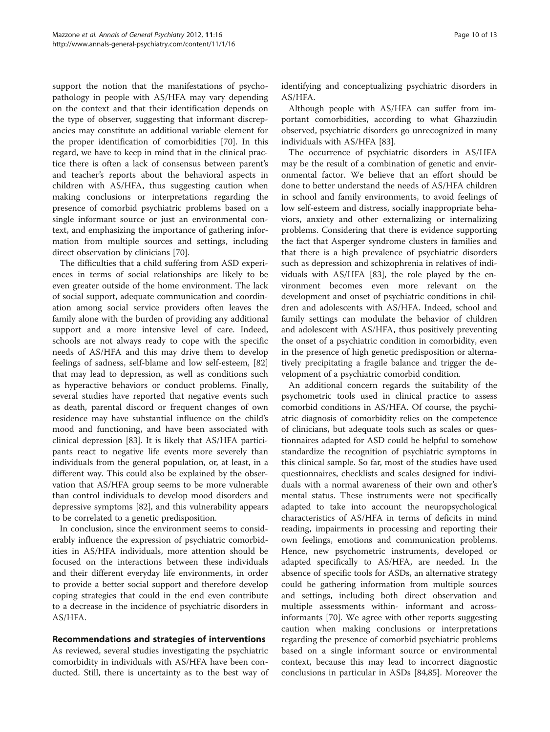support the notion that the manifestations of psychopathology in people with AS/HFA may vary depending on the context and that their identification depends on the type of observer, suggesting that informant discrepancies may constitute an additional variable element for the proper identification of comorbidities [\[70\]](#page-12-0). In this regard, we have to keep in mind that in the clinical practice there is often a lack of consensus between parent's and teacher's reports about the behavioral aspects in children with AS/HFA, thus suggesting caution when making conclusions or interpretations regarding the presence of comorbid psychiatric problems based on a single informant source or just an environmental context, and emphasizing the importance of gathering information from multiple sources and settings, including direct observation by clinicians [\[70](#page-12-0)].

The difficulties that a child suffering from ASD experiences in terms of social relationships are likely to be even greater outside of the home environment. The lack of social support, adequate communication and coordination among social service providers often leaves the family alone with the burden of providing any additional support and a more intensive level of care. Indeed, schools are not always ready to cope with the specific needs of AS/HFA and this may drive them to develop feelings of sadness, self-blame and low self-esteem, [[82](#page-12-0)] that may lead to depression, as well as conditions such as hyperactive behaviors or conduct problems. Finally, several studies have reported that negative events such as death, parental discord or frequent changes of own residence may have substantial influence on the child's mood and functioning, and have been associated with clinical depression [\[83](#page-12-0)]. It is likely that AS/HFA participants react to negative life events more severely than individuals from the general population, or, at least, in a different way. This could also be explained by the observation that AS/HFA group seems to be more vulnerable than control individuals to develop mood disorders and depressive symptoms [\[82](#page-12-0)], and this vulnerability appears to be correlated to a genetic predisposition.

In conclusion, since the environment seems to considerably influence the expression of psychiatric comorbidities in AS/HFA individuals, more attention should be focused on the interactions between these individuals and their different everyday life environments, in order to provide a better social support and therefore develop coping strategies that could in the end even contribute to a decrease in the incidence of psychiatric disorders in AS/HFA.

# Recommendations and strategies of interventions

As reviewed, several studies investigating the psychiatric comorbidity in individuals with AS/HFA have been conducted. Still, there is uncertainty as to the best way of identifying and conceptualizing psychiatric disorders in AS/HFA.

Although people with AS/HFA can suffer from important comorbidities, according to what Ghazziudin observed, psychiatric disorders go unrecognized in many individuals with AS/HFA [[83](#page-12-0)].

The occurrence of psychiatric disorders in AS/HFA may be the result of a combination of genetic and environmental factor. We believe that an effort should be done to better understand the needs of AS/HFA children in school and family environments, to avoid feelings of low self-esteem and distress, socially inappropriate behaviors, anxiety and other externalizing or internalizing problems. Considering that there is evidence supporting the fact that Asperger syndrome clusters in families and that there is a high prevalence of psychiatric disorders such as depression and schizophrenia in relatives of individuals with AS/HFA [[83](#page-12-0)], the role played by the environment becomes even more relevant on the development and onset of psychiatric conditions in children and adolescents with AS/HFA. Indeed, school and family settings can modulate the behavior of children and adolescent with AS/HFA, thus positively preventing the onset of a psychiatric condition in comorbidity, even in the presence of high genetic predisposition or alternatively precipitating a fragile balance and trigger the development of a psychiatric comorbid condition.

An additional concern regards the suitability of the psychometric tools used in clinical practice to assess comorbid conditions in AS/HFA. Of course, the psychiatric diagnosis of comorbidity relies on the competence of clinicians, but adequate tools such as scales or questionnaires adapted for ASD could be helpful to somehow standardize the recognition of psychiatric symptoms in this clinical sample. So far, most of the studies have used questionnaires, checklists and scales designed for individuals with a normal awareness of their own and other's mental status. These instruments were not specifically adapted to take into account the neuropsychological characteristics of AS/HFA in terms of deficits in mind reading, impairments in processing and reporting their own feelings, emotions and communication problems. Hence, new psychometric instruments, developed or adapted specifically to AS/HFA, are needed. In the absence of specific tools for ASDs, an alternative strategy could be gathering information from multiple sources and settings, including both direct observation and multiple assessments within- informant and acrossinformants [[70\]](#page-12-0). We agree with other reports suggesting caution when making conclusions or interpretations regarding the presence of comorbid psychiatric problems based on a single informant source or environmental context, because this may lead to incorrect diagnostic conclusions in particular in ASDs [[84](#page-12-0),[85](#page-12-0)]. Moreover the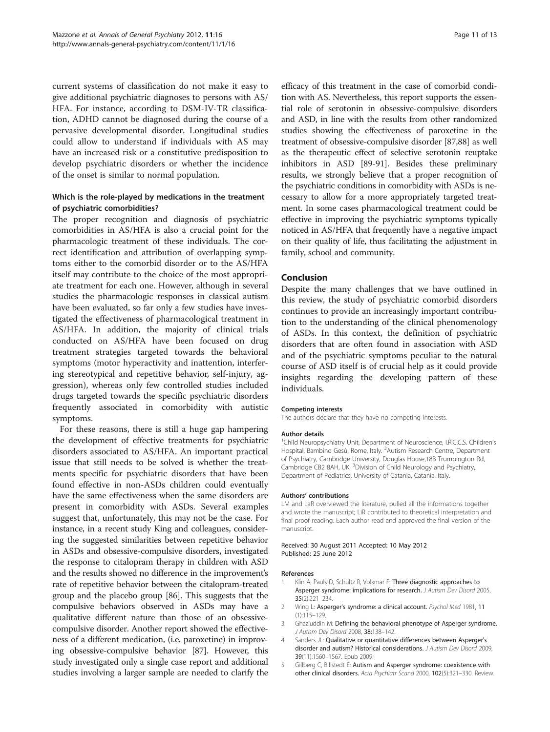<span id="page-10-0"></span>current systems of classification do not make it easy to give additional psychiatric diagnoses to persons with AS/ HFA. For instance, according to DSM-IV-TR classification, ADHD cannot be diagnosed during the course of a pervasive developmental disorder. Longitudinal studies could allow to understand if individuals with AS may have an increased risk or a constitutive predisposition to develop psychiatric disorders or whether the incidence of the onset is similar to normal population.

# Which is the role-played by medications in the treatment of psychiatric comorbidities?

The proper recognition and diagnosis of psychiatric comorbidities in AS/HFA is also a crucial point for the pharmacologic treatment of these individuals. The correct identification and attribution of overlapping symptoms either to the comorbid disorder or to the AS/HFA itself may contribute to the choice of the most appropriate treatment for each one. However, although in several studies the pharmacologic responses in classical autism have been evaluated, so far only a few studies have investigated the effectiveness of pharmacological treatment in AS/HFA. In addition, the majority of clinical trials conducted on AS/HFA have been focused on drug treatment strategies targeted towards the behavioral symptoms (motor hyperactivity and inattention, interfering stereotypical and repetitive behavior, self-injury, aggression), whereas only few controlled studies included drugs targeted towards the specific psychiatric disorders frequently associated in comorbidity with autistic symptoms.

For these reasons, there is still a huge gap hampering the development of effective treatments for psychiatric disorders associated to AS/HFA. An important practical issue that still needs to be solved is whether the treatments specific for psychiatric disorders that have been found effective in non-ASDs children could eventually have the same effectiveness when the same disorders are present in comorbidity with ASDs. Several examples suggest that, unfortunately, this may not be the case. For instance, in a recent study King and colleagues, considering the suggested similarities between repetitive behavior in ASDs and obsessive-compulsive disorders, investigated the response to citalopram therapy in children with ASD and the results showed no difference in the improvement's rate of repetitive behavior between the citalopram-treated group and the placebo group [\[86](#page-12-0)]. This suggests that the compulsive behaviors observed in ASDs may have a qualitative different nature than those of an obsessivecompulsive disorder. Another report showed the effectiveness of a different medication, (i.e. paroxetine) in improving obsessive-compulsive behavior [\[87\]](#page-12-0). However, this study investigated only a single case report and additional studies involving a larger sample are needed to clarify the

efficacy of this treatment in the case of comorbid condition with AS. Nevertheless, this report supports the essential role of serotonin in obsessive-compulsive disorders and ASD, in line with the results from other randomized studies showing the effectiveness of paroxetine in the treatment of obsessive-compulsive disorder [\[87,88\]](#page-12-0) as well as the therapeutic effect of selective serotonin reuptake inhibitors in ASD [[89](#page-12-0)-[91\]](#page-12-0). Besides these preliminary results, we strongly believe that a proper recognition of the psychiatric conditions in comorbidity with ASDs is necessary to allow for a more appropriately targeted treatment. In some cases pharmacological treatment could be effective in improving the psychiatric symptoms typically noticed in AS/HFA that frequently have a negative impact on their quality of life, thus facilitating the adjustment in family, school and community.

# Conclusion

Despite the many challenges that we have outlined in this review, the study of psychiatric comorbid disorders continues to provide an increasingly important contribution to the understanding of the clinical phenomenology of ASDs. In this context, the definition of psychiatric disorders that are often found in association with ASD and of the psychiatric symptoms peculiar to the natural course of ASD itself is of crucial help as it could provide insights regarding the developing pattern of these individuals.

#### Competing interests

The authors declare that they have no competing interests.

#### Author details

<sup>1</sup>Child Neuropsychiatry Unit, Department of Neuroscience, I.R.C.C.S. Children's Hospital, Bambino Gesù, Rome, Italy. <sup>2</sup>Autism Research Centre, Department of Psychiatry, Cambridge University, Douglas House,18B Trumpington Rd, Cambridge CB2 8AH, UK. <sup>3</sup> Division of Child Neurology and Psychiatry, Department of Pediatrics, University of Catania, Catania, Italy.

#### Authors' contributions

LM and LaR overviewed the literature, pulled all the informations together and wrote the manuscript; LiR contributed to theoretical interpretation and final proof reading. Each author read and approved the final version of the manuscript.

#### Received: 30 August 2011 Accepted: 10 May 2012 Published: 25 June 2012

#### References

- Klin A, Pauls D, Schultz R, Volkmar F: Three diagnostic approaches to Asperger syndrome: implications for research. J Autism Dev Disord 2005, 35(2):221–234.
- 2. Wing L: Asperger's syndrome: a clinical account. Psychol Med 1981, 11 (1):115–129.
- 3. Ghaziuddin M: Defining the behavioral phenotype of Asperger syndrome. J Autism Dev Disord 2008, 38:138–142.
- 4. Sanders JL: Qualitative or quantitative differences between Asperger's disorder and autism? Historical considerations. J Autism Dev Disord 2009, 39(11):1560–1567. Epub 2009.
- 5. Gillberg C, Billstedt E: Autism and Asperger syndrome: coexistence with other clinical disorders. Acta Psychiatr Scand 2000, 102(5):321–330. Review.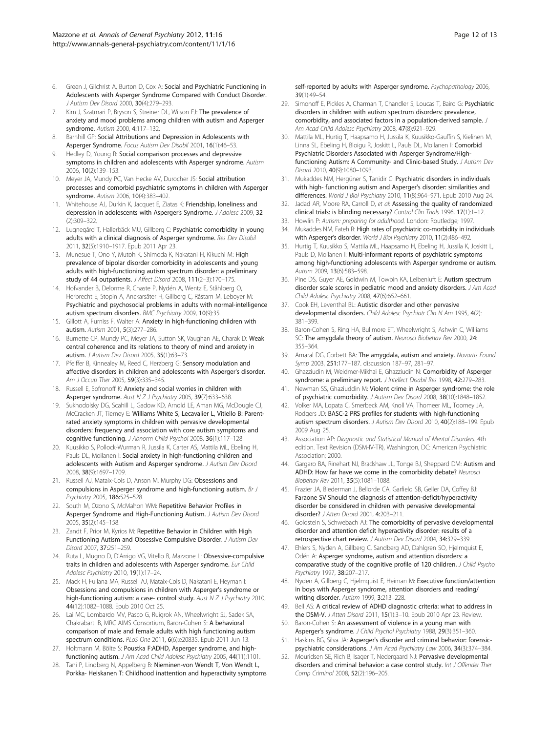- <span id="page-11-0"></span>6. Green J, Gilchrist A, Burton D, Cox A: Social and Psychiatric Functioning in Adolescents with Asperger Syndrome Compared with Conduct Disorder. J Autism Dev Disord 2000, 30(4):279–293.
- 7. Kim J, Szatmari P, Bryson S, Streiner DL, Wilson FJ: The prevalence of anxiety and mood problems among children with autism and Asperger syndrome. Autism 2000, 4:117–132.
- 8. Barnhill GP: Social Attributions and Depression in Adolescents with Asperger Syndrome. Focus Autism Dev Disabil 2001, 16(1):46–53.
- Hedley D, Young R: Social comparison processes and depressive symptoms in children and adolescents with Asperger syndrome. Autism 2006, 10(2):139–153.
- 10. Meyer JA, Mundy PC, Van Hecke AV, Durocher JS: Social attribution processes and comorbid psychiatric symptoms in children with Asperger syndrome. Autism 2006, 10(4):383–402.
- 11. Whitehouse AJ, Durkin K, Jacquet E, Ziatas K: Friendship, loneliness and depression in adolescents with Asperger's Syndrome. J Adolesc 2009, 32 (2):309–322.
- 12. Lugnegård T, Hallerbäck MU, Gillberg C: Psychiatric comorbidity in young adults with a clinical diagnosis of Asperger syndrome. Res Dev Disabil 2011, 32(5):1910–1917. Epub 2011 Apr 23.
- 13. Munesue T, Ono Y, Mutoh K, Shimoda K, Nakatani H, Kikuchi M: High prevalence of bipolar disorder comorbidity in adolescents and young adults with high-functioning autism spectrum disorder: a preliminary study of 44 outpatients. J Affect Disord 2008, 111(2-3):170-175.
- 14. Hofvander B, Delorme R, Chaste P, Nydén A, Wentz E, Ståhlberg O, Herbrecht E, Stopin A, Anckarsäter H, Gillberg C, Råstam M, Leboyer M: Psychiatric and psychosocial problems in adults with normal-intelligence autism spectrum disorders. BMC Psychiatry 2009, 10(9):35.
- 15. Gillott A, Furniss F, Walter A: Anxiety in high-functioning children with autism. Autism 2001, 5(3):277–286.
- 16. Burnette CP, Mundy PC, Meyer JA, Sutton SK, Vaughan AE, Charak D: Weak central coherence and its relations to theory of mind and anxiety in autism. J Autism Dev Disord 2005, 35(1):63–73.
- 17. Pfeiffer B, Kinnealey M, Reed C, Herzberg G: Sensory modulation and affective disorders in children and adolescents with Asperger's disorder. Am J Occup Ther 2005, 59(3):335-345.
- 18. Russell E, Sofronoff K: Anxiety and social worries in children with Asperger syndrome. Aust N Z J Psychiatry 2005, 39(7):633-638.
- 19. Sukhodolsky DG, Scahill L, Gadow KD, Arnold LE, Aman MG, McDougle CJ, McCracken JT, Tierney E: Williams White S, Lecavalier L, Vitiello B: Parentrated anxiety symptoms in children with pervasive developmental disorders: frequency and association with core autism symptoms and cognitive functioning. J Abnorm Child Psychol 2008, 36(1):117–128.
- 20. Kuusikko S, Pollock-Wurman R, Jussila K, Carter AS, Mattila ML, Ebeling H, Pauls DL, Moilanen I: Social anxiety in high-functioning children and adolescents with Autism and Asperger syndrome. J Autism Dev Disord 2008, 38(9):1697–1709.
- 21. Russell AJ, Mataix-Cols D, Anson M, Murphy DG: Obsessions and compulsions in Asperger syndrome and high-functioning autism. Br J Psychiatry 2005, 186:525–528.
- 22. South M, Ozono S, McMahon WM: Repetitive Behavior Profiles in Asperger Syndrome and High-Functioning Autism. J Autism Dev Disord 2005, 35(2):145–158.
- 23. Zandt F, Prior M, Kyrios M: Repetitive Behavior in Children with High Functioning Autism and Obsessive Compulsive Disorder. J Autism Dev Disord 2007, 37:251–259.
- 24. Ruta L, Mugno D, D'Arrigo VG, Vitello B, Mazzone L: Obsessive-compulsive traits in children and adolescents with Asperger syndrome. Eur Child Adolesc Psychiatry 2010, 19(1):17–24.
- 25. Mack H, Fullana MA, Russell AJ, Mataix-Cols D, Nakatani E, Heyman I: Obsessions and compulsions in children with Asperger's syndrome or high-functioning autism: a case- control study. Aust N Z J Psychiatry 2010, 44(12):1082–1088. Epub 2010 Oct 25.
- 26. Lai MC, Lombardo MV, Pasco G, Ruigrok AN, Wheelwright SJ, Sadek SA, Chakrabarti B, MRC AIMS Consortium, Baron-Cohen S: A behavioral comparison of male and female adults with high functioning autism spectrum conditions. PLoS One 2011, 6(6):e20835. Epub 2011 Jun 13.
- 27. Holtmann M, Bölte S: Poustka F:ADHD, Asperger syndrome, and highfunctioning autism. J Am Acad Child Adolesc Psychiatry 2005, 44(11):1101.
- 28. Tani P, Lindberg N, Appelberg B: Nieminen-von Wendt T, Von Wendt L, Porkka- Heiskanen T: Childhood inattention and hyperactivity symptoms

self-reported by adults with Asperger syndrome. Psychopathology 2006, 39(1):49–54.

- 29. Simonoff E, Pickles A, Charman T, Chandler S, Loucas T, Baird G: Psychiatric disorders in children with autism spectrum disorders: prevalence, comorbidity, and associated factors in a population-derived sample. J Am Acad Child Adolesc Psychiatry 2008, 47(8):921–929.
- 30. Mattila ML, Hurtig T, Haapsamo H, Jussila K, Kuusikko-Gauffin S, Kielinen M, Linna SL, Ebeling H, Bloigu R, Joskitt L, Pauls DL, Moilanen I: Comorbid Psychiatric Disorders Associated with Asperger Syndrome/Highfunctioning Autism: A Community- and Clinic-based Study. J Autism Dev Disord 2010, 40(9):1080-1093.
- 31. Mukaddes NM, Hergüner S, Tanidir C: Psychiatric disorders in individuals with high- functioning autism and Asperger's disorder: similarities and differences. World J Biol Psychiatry 2010, 11(8):964–971. Epub 2010 Aug 24.
- 32. Jadad AR, Moore RA, Carroll D, et al: Assessing the quality of randomized clinical trials: is blinding necessary? Control Clin Trials 1996, 17(1):1–12.
- 33. Howlin P: Autism: preparing for adulthood. London: Routledge; 1997.
- 34. Mukaddes NM, Fateh R: High rates of psychiatric co-morbidity in individuals with Asperger's disorder. World J Biol Psychiatry 2010, 11(2):486-492.
- 35. Hurtig T, Kuusikko S, Mattila ML, Haapsamo H, Ebeling H, Jussila K, Joskitt L, Pauls D, Moilanen I: Multi-informant reports of psychiatric symptoms among high-functioning adolescents with Asperger syndrome or autism. Autism 2009, 13(6):583–598.
- 36. Pine DS, Guyer AE, Goldwin M, Towbin KA, Leibenluft E: Autism spectrum disorder scale scores in pediatric mood and anxiety disorders. J Am Acad Child Adolesc Psychiatry 2008, 47(6):652–661.
- 37. Cook EH, Leventhal BL: Autistic disorder and other pervasive developmental disorders. Child Adolesc Psychiatr Clin N Am 1995, 4(2): 381–399.
- 38. Baron-Cohen S, Ring HA, Bullmore ET, Wheelwright S, Ashwin C, Williams SC: The amygdala theory of autism. Neurosci Biobehav Rev 2000, 24: 355–364.
- 39. Amaral DG, Corbett BA: The amygdala, autism and anxiety. Novartis Found Symp 2003, 251:177–187. discussion 187–97, 281–97.
- 40. Ghazziudin M, Weidmer-Mikhai E, Ghazziudin N: Comorbidity of Asperger syndrome: a preliminary report. J Intellect Disabil Res 1998, 42:279-283.
- 41. Newman SS, Ghaziuddin M: Violent crime in Asperger syndrome: the role of psychiatric comorbidity. J Autism Dev Disord 2008, 38(10):1848–1852.
- 42. Volker MA, Lopata C, Smerbeck AM, Knoll VA, Thomeer ML, Toomey JA, Rodgers JD: BASC-2 PRS profiles for students with high-functioning autism spectrum disorders. J Autism Dev Disord 2010, 40(2):188–199. Epub 2009 Aug 25.
- 43. Association AP: Diagnostic and Statistical Manual of Mental Disorders. 4th edition. Text Revision (DSM-IV-TR), Washington, DC: American Psychiatric Association; 2000.
- 44. Gargaro BA, Rinehart NJ, Bradshaw JL, Tonge BJ, Sheppard DM: Autism and ADHD: How far have we come in the comorbidity debate? Neurosci Biobehav Rev 2011, 35(5):1081–1088.
- 45. Frazier JA, Biederman J, Bellorde CA, Garfield SB, Geller DA, Coffey BJ: Faraone SV Should the diagnosis of attention-deficit/hyperactivity disorder be considered in children with pervasive developmental disorder? J Atten Disord 2001, 4:203–211.
- 46. Goldstein S, Schwebach AJ: The comorbidity of pervasive developmental disorder and attention deficit hyperactivity disorder: results of a retrospective chart review. J Autism Dev Disord 2004, 34:329–339.
- 47. Ehlers S, Nyden A, Gillberg C, Sandberg AD, Dahlgren SO, Hjelmquist E, Odén A: Asperger syndrome, autism and attention disorders: a comparative study of the cognitive profile of 120 children. J Child Psycho Psychiatry 1997, 38:207–217.
- 48. Nyden A, Gillberg C, Hjelmquist E, Heiman M: Executive function/attention in boys with Asperger syndrome, attention disorders and reading/ writing disorder. Autism 1999, 3:213–228.
- 49. Bell AS: A critical review of ADHD diagnostic criteria: what to address in the DSM-V. J Atten Disord 2011, 15(1):3–10. Epub 2010 Apr 23. Review.
- 50. Baron-Cohen S: An assessment of violence in a young man with Asperger's syndrome. J Child Psychol Psychiatry 1988, 29(3):351-360.
- 51. Haskins BG, Silva JA: Asperger's disorder and criminal behavior: forensicpsychiatric considerations. J Am Acad Psychiatry Law 2006, 34(3):374–384.
- 52. Mouridsen SE, Rich B, Isager T, Nedergaard NJ: Pervasive developmental disorders and criminal behavior: a case control study. Int J Offender Ther Comp Criminol 2008, 52(2):196–205.